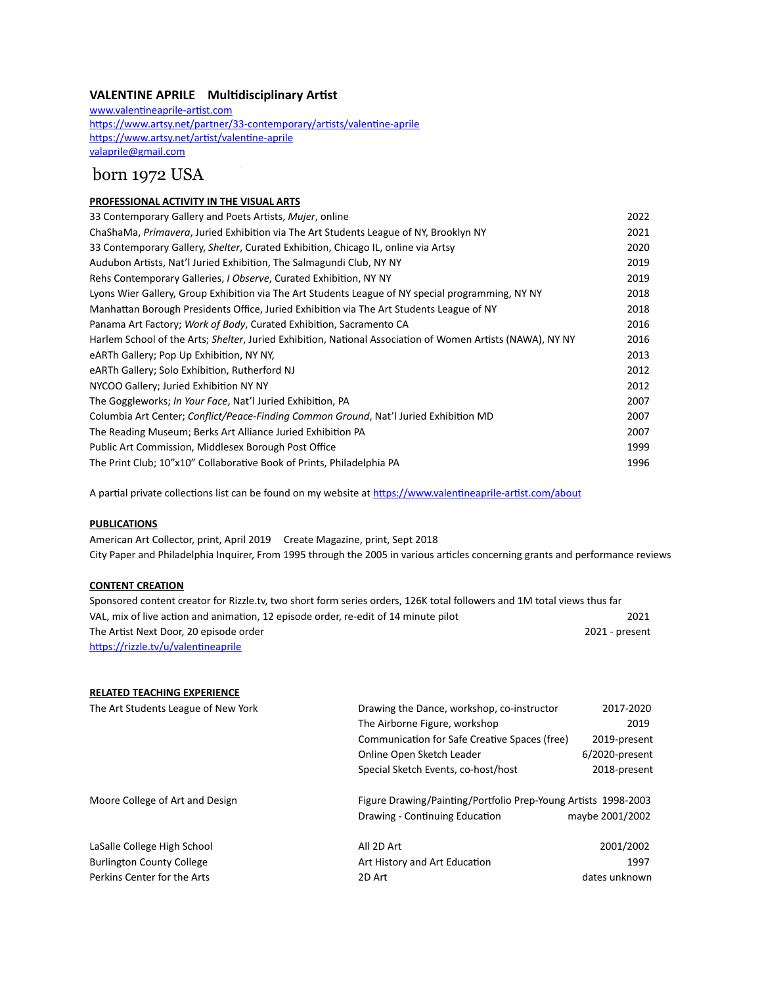### **VALENTINE APRILE Multidisciplinary Artist**

[www.valentineaprile-artist.com](http://www.valentineaprile-artist.com)  <https://www.artsy.net/partner/33-contemporary/artists/valentine-aprile> <https://www.artsy.net/artist/valentine-aprile> [valaprile@gmail.com](mailto:valaprile@gmail.com)

# born 1972 USA

### **PROFESSIONAL ACTIVITY IN THE VISUAL ARTS**

| 33 Contemporary Gallery and Poets Artists, Mujer, online                                                   | 2022 |
|------------------------------------------------------------------------------------------------------------|------|
| ChaShaMa, Primavera, Juried Exhibition via The Art Students League of NY, Brooklyn NY                      | 2021 |
| 33 Contemporary Gallery, Shelter, Curated Exhibition, Chicago IL, online via Artsy                         | 2020 |
| Audubon Artists, Nat'l Juried Exhibition, The Salmagundi Club, NY NY                                       | 2019 |
| Rehs Contemporary Galleries, <i>I Observe</i> , Curated Exhibition, NY NY                                  | 2019 |
| Lyons Wier Gallery, Group Exhibition via The Art Students League of NY special programming, NY NY          | 2018 |
| Manhattan Borough Presidents Office, Juried Exhibition via The Art Students League of NY                   | 2018 |
| Panama Art Factory; Work of Body, Curated Exhibition, Sacramento CA                                        | 2016 |
| Harlem School of the Arts; Shelter, Juried Exhibition, National Association of Women Artists (NAWA), NY NY | 2016 |
| eARTh Gallery; Pop Up Exhibition, NY NY,                                                                   | 2013 |
| eARTh Gallery; Solo Exhibition, Rutherford NJ                                                              | 2012 |
| NYCOO Gallery; Juried Exhibition NY NY                                                                     | 2012 |
| The Goggleworks; In Your Face, Nat'l Juried Exhibition, PA                                                 | 2007 |
| Columbia Art Center; Conflict/Peace-Finding Common Ground, Nat'l Juried Exhibition MD                      | 2007 |
| The Reading Museum; Berks Art Alliance Juried Exhibition PA                                                | 2007 |
| Public Art Commission, Middlesex Borough Post Office                                                       | 1999 |
| The Print Club; 10"x10" Collaborative Book of Prints, Philadelphia PA                                      | 1996 |

A partial private collections list can be found on my website at <https://www.valentineaprile-artist.com/about>

#### **PUBLICATIONS**

American Art Collector, print, April 2019 Create Magazine, print, Sept 2018 City Paper and Philadelphia Inquirer, From 1995 through the 2005 in various articles concerning grants and performance reviews

#### **CONTENT CREATION**

| Sponsored content creator for Rizzle.tv, two short form series orders, 126K total followers and 1M total views thus far |                |
|-------------------------------------------------------------------------------------------------------------------------|----------------|
| VAL, mix of live action and animation, 12 episode order, re-edit of 14 minute pilot                                     | 2021           |
| The Artist Next Door, 20 episode order                                                                                  | 2021 - present |
| https://rizzle.tv/u/valentineaprile                                                                                     |                |

# **RELATED TEACHING EXPERIENCE** The Art Students League of New York Drawing the Dance, workshop, co-instructor 2017-2020

|                                  | The Airborne Figure, workshop                                  | 2019              |
|----------------------------------|----------------------------------------------------------------|-------------------|
|                                  | Communication for Safe Creative Spaces (free)                  | 2019-present      |
|                                  | Online Open Sketch Leader                                      | $6/2020$ -present |
|                                  | Special Sketch Events, co-host/host                            | 2018-present      |
| Moore College of Art and Design  | Figure Drawing/Painting/Portfolio Prep-Young Artists 1998-2003 |                   |
|                                  | Drawing - Continuing Education                                 | maybe 2001/2002   |
| LaSalle College High School      | All 2D Art                                                     | 2001/2002         |
| <b>Burlington County College</b> | Art History and Art Education                                  | 1997              |
| Perkins Center for the Arts      | 2D Art                                                         | dates unknown     |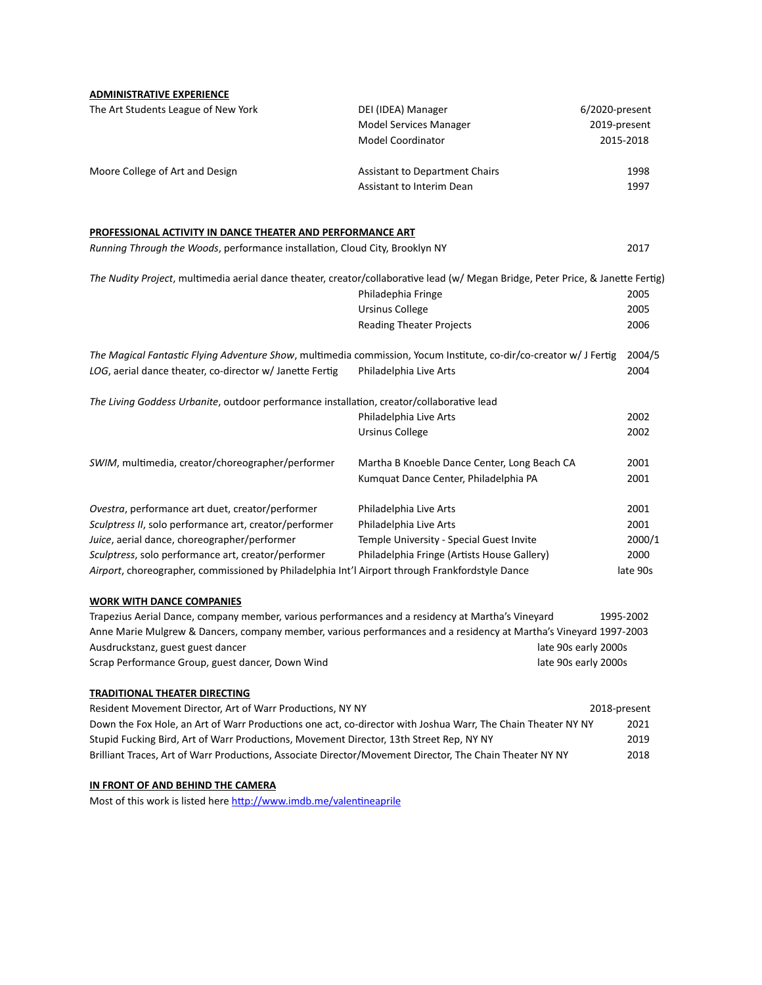**ADMINISTRATIVE EXPERIENCE**

| The Art Students League of New York                                                                                              | DEI (IDEA) Manager<br>Model Services Manager<br>Model Coordinator | 6/2020-present<br>2019-present<br>2015-2018 |
|----------------------------------------------------------------------------------------------------------------------------------|-------------------------------------------------------------------|---------------------------------------------|
|                                                                                                                                  |                                                                   |                                             |
| Moore College of Art and Design                                                                                                  | Assistant to Department Chairs                                    | 1998                                        |
|                                                                                                                                  | Assistant to Interim Dean                                         | 1997                                        |
| PROFESSIONAL ACTIVITY IN DANCE THEATER AND PERFORMANCE ART                                                                       |                                                                   |                                             |
| Running Through the Woods, performance installation, Cloud City, Brooklyn NY                                                     |                                                                   | 2017                                        |
| The Nudity Project, multimedia aerial dance theater, creator/collaborative lead (w/ Megan Bridge, Peter Price, & Janette Fertig) |                                                                   |                                             |
|                                                                                                                                  | Philadephia Fringe                                                | 2005                                        |
|                                                                                                                                  | <b>Ursinus College</b>                                            | 2005                                        |
|                                                                                                                                  | <b>Reading Theater Projects</b>                                   | 2006                                        |
| The Magical Fantastic Flying Adventure Show, multimedia commission, Yocum Institute, co-dir/co-creator w/ J Fertig               |                                                                   | 2004/5                                      |
| LOG, aerial dance theater, co-director w/ Janette Fertig                                                                         | Philadelphia Live Arts                                            | 2004                                        |
| The Living Goddess Urbanite, outdoor performance installation, creator/collaborative lead                                        |                                                                   |                                             |
|                                                                                                                                  | Philadelphia Live Arts                                            | 2002                                        |
|                                                                                                                                  | <b>Ursinus College</b>                                            | 2002                                        |
| SWIM, multimedia, creator/choreographer/performer                                                                                | Martha B Knoeble Dance Center, Long Beach CA                      | 2001                                        |
|                                                                                                                                  | Kumquat Dance Center, Philadelphia PA                             | 2001                                        |
| Ovestra, performance art duet, creator/performer                                                                                 | Philadelphia Live Arts                                            | 2001                                        |
| Sculptress II, solo performance art, creator/performer                                                                           | Philadelphia Live Arts                                            | 2001                                        |
| Juice, aerial dance, choreographer/performer                                                                                     | Temple University - Special Guest Invite                          | 2000/1                                      |
| Sculptress, solo performance art, creator/performer                                                                              | Philadelphia Fringe (Artists House Gallery)                       | 2000                                        |
| Airport, choreographer, commissioned by Philadelphia Int'l Airport through Frankfordstyle Dance                                  |                                                                   | late 90s                                    |
| <b>WORK WITH DANCE COMPANIES</b>                                                                                                 |                                                                   |                                             |
| Trapezius Aerial Dance, company member, various performances and a residency at Martha's Vineyard                                |                                                                   | 1995-2002                                   |
| Anne Marie Mulgrew & Dancers, company member, various performances and a residency at Martha's Vineyard 1997-2003                |                                                                   |                                             |
| Ausdruckstanz, guest guest dancer                                                                                                |                                                                   | late 90s early 2000s                        |
| Scrap Performance Group, guest dancer, Down Wind<br>late 90s early 2000s                                                         |                                                                   |                                             |

#### **TRADITIONAL THEATER DIRECTING**

| Resident Movement Director, Art of Warr Productions, NY NY                                                   | 2018-present |
|--------------------------------------------------------------------------------------------------------------|--------------|
| Down the Fox Hole, an Art of Warr Productions one act, co-director with Joshua Warr, The Chain Theater NY NY | 2021         |
| Stupid Fucking Bird, Art of Warr Productions, Movement Director, 13th Street Rep, NY NY                      | 2019         |
| Brilliant Traces, Art of Warr Productions, Associate Director/Movement Director, The Chain Theater NY NY     | 2018         |

# **IN FRONT OF AND BEHIND THE CAMERA**

Most of this work is listed here [http://www.imdb.me/valentineaprile](https://www.imdb.me/valentineaprile?fbclid=IwAR3uf0KYWYNlxxecu5nnUPOncAQQWaVp2D0bwH7TEfT9f0-d_waZeJCkrV4)